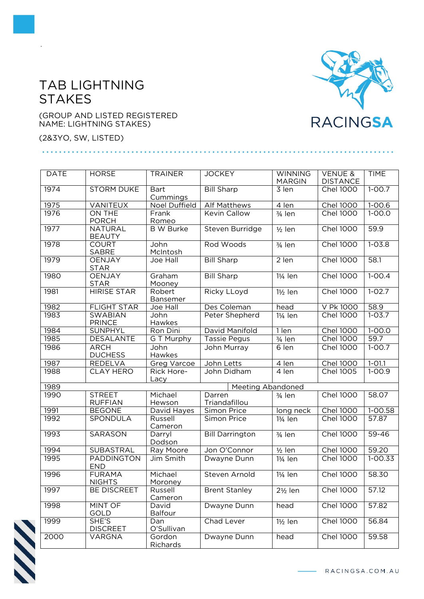## TAB LIGHTNING **STAKES**



(2&3YO, SW, LISTED)









.